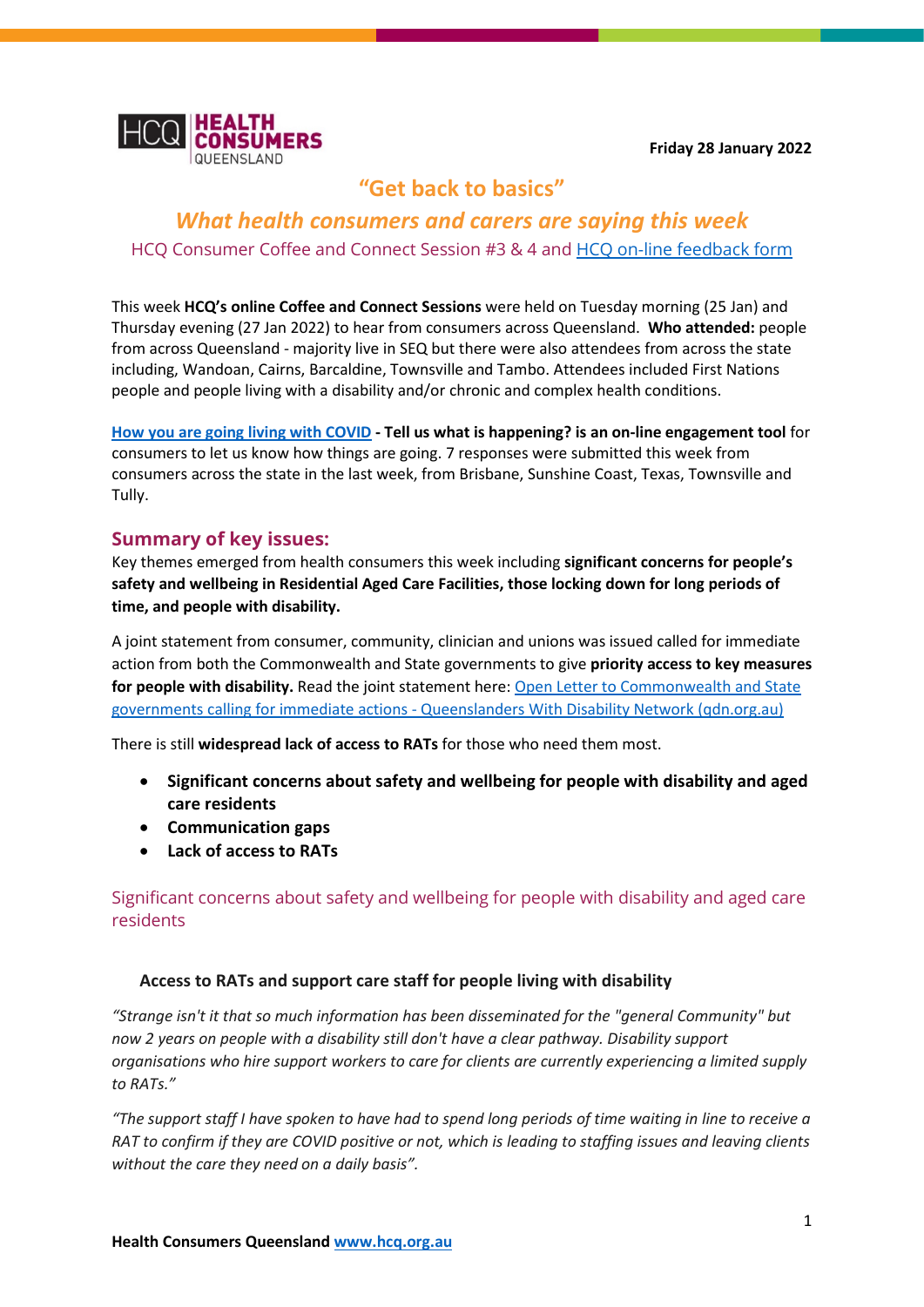**Friday 28 January 2022**



# **"Get back to basics"**

## *What health consumers and carers are saying this week* HCQ Consumer Coffee and Connect Session #3 & 4 and [HCQ on-line feedback form](https://forms.office.com/pages/responsepage.aspx?id=AzIBLWsEzUaykAfhE64hFyVW_evj_vdClwWENSOEaphUQThDNTdIUUhZMEtKSVQyNE83Vk5BRzNFNCQlQCN0PWcu)

This week **HCQ's online Coffee and Connect Sessions** were held on Tuesday morning (25 Jan) and Thursday evening (27 Jan 2022) to hear from consumers across Queensland. **Who attended:** people from across Queensland - majority live in SEQ but there were also attendees from across the state including, Wandoan, Cairns, Barcaldine, Townsville and Tambo. Attendees included First Nations people and people living with a disability and/or chronic and complex health conditions.

**[How you are going living with COVID](https://forms.office.com/pages/responsepage.aspx?id=AzIBLWsEzUaykAfhE64hFyVW_evj_vdClwWENSOEaphUQThDNTdIUUhZMEtKSVQyNE83Vk5BRzNFNCQlQCN0PWcu) - Tell us what is happening? is an on-line engagement tool** for consumers to let us know how things are going. 7 responses were submitted this week from consumers across the state in the last week, from Brisbane, Sunshine Coast, Texas, Townsville and Tully.

## **Summary of key issues:**

Key themes emerged from health consumers this week including **significant concerns for people's safety and wellbeing in Residential Aged Care Facilities, those locking down for long periods of time, and people with disability.** 

A joint statement from consumer, community, clinician and unions was issued called for immediate action from both the Commonwealth and State governments to give **priority access to key measures**  for people with disability. Read the joint statement here: Open Letter to Commonwealth and State governments calling for immediate actions - [Queenslanders With Disability Network \(qdn.org.au\)](https://qdn.org.au/open-letter-to-commonwealth-and-state-governments-calling-for-immediate-actions/)

There is still **widespread lack of access to RATs** for those who need them most.

- **Significant concerns about safety and wellbeing for people with disability and aged care residents**
- **Communication gaps**
- **Lack of access to RATs**

Significant concerns about safety and wellbeing for people with disability and aged care residents

## **Access to RATs and support care staff for people living with disability**

*"Strange isn't it that so much information has been disseminated for the "general Community" but now 2 years on people with a disability still don't have a clear pathway. Disability support organisations who hire support workers to care for clients are currently experiencing a limited supply to RATs."* 

*"The support staff I have spoken to have had to spend long periods of time waiting in line to receive a RAT to confirm if they are COVID positive or not, which is leading to staffing issues and leaving clients without the care they need on a daily basis".*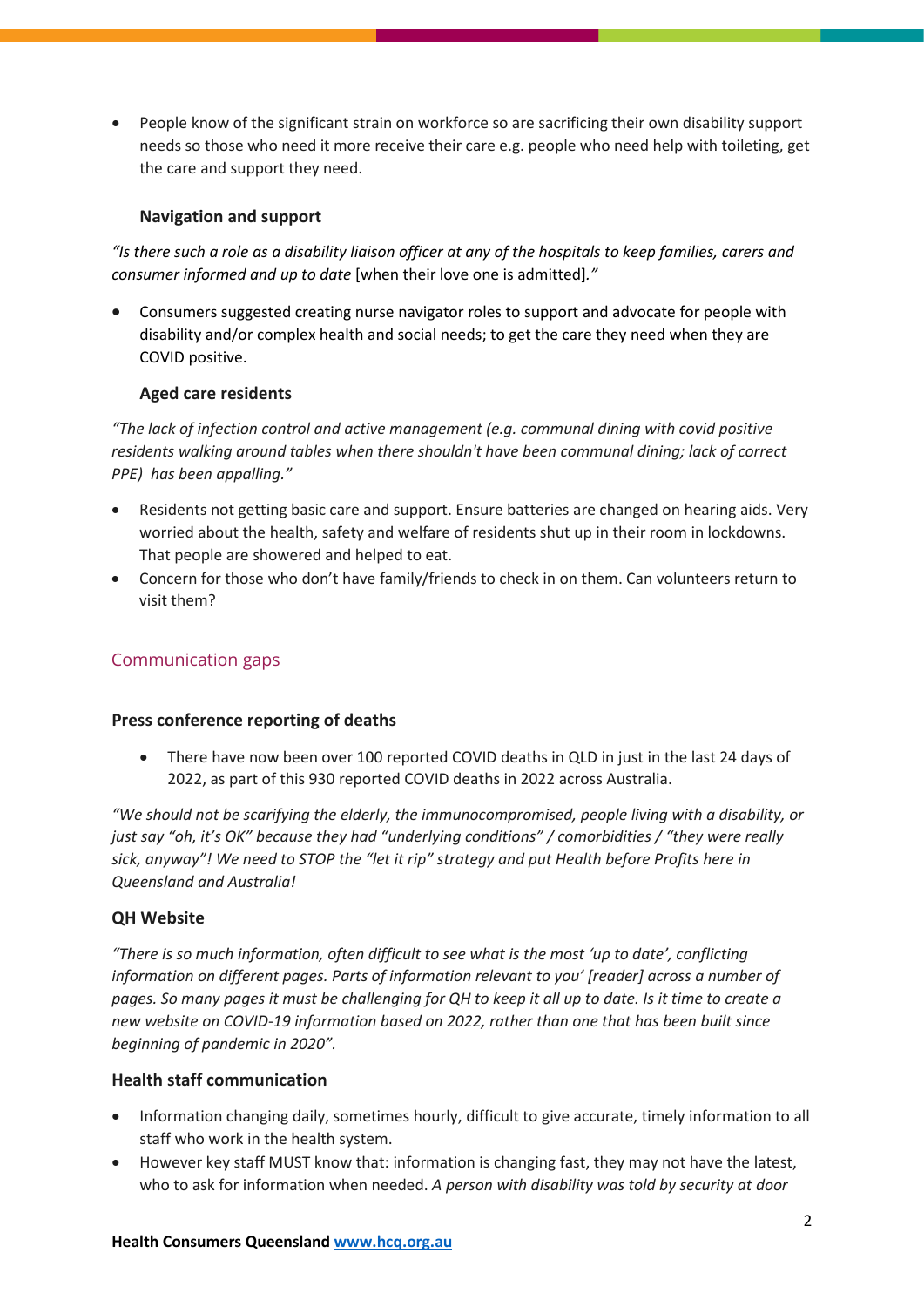• People know of the significant strain on workforce so are sacrificing their own disability support needs so those who need it more receive their care e.g. people who need help with toileting, get the care and support they need.

## **Navigation and support**

*"Is there such a role as a disability liaison officer at any of the hospitals to keep families, carers and consumer informed and up to date* [when their love one is admitted]*."*

• Consumers suggested creating nurse navigator roles to support and advocate for people with disability and/or complex health and social needs; to get the care they need when they are COVID positive.

## **Aged care residents**

*"The lack of infection control and active management (e.g. communal dining with covid positive residents walking around tables when there shouldn't have been communal dining; lack of correct PPE) has been appalling."*

- Residents not getting basic care and support. Ensure batteries are changed on hearing aids. Very worried about the health, safety and welfare of residents shut up in their room in lockdowns. That people are showered and helped to eat.
- Concern for those who don't have family/friends to check in on them. Can volunteers return to visit them?

## Communication gaps

#### **Press conference reporting of deaths**

• There have now been over 100 reported COVID deaths in QLD in just in the last 24 days of 2022, as part of this 930 reported COVID deaths in 2022 across Australia.

*"We should not be scarifying the elderly, the immunocompromised, people living with a disability, or just say "oh, it's OK" because they had "underlying conditions" / comorbidities / "they were really sick, anyway"! We need to STOP the "let it rip" strategy and put Health before Profits here in Queensland and Australia!* 

#### **QH Website**

*"There is so much information, often difficult to see what is the most 'up to date', conflicting information on different pages. Parts of information relevant to you' [reader] across a number of pages. So many pages it must be challenging for QH to keep it all up to date. Is it time to create a new website on COVID-19 information based on 2022, rather than one that has been built since beginning of pandemic in 2020".*

#### **Health staff communication**

- Information changing daily, sometimes hourly, difficult to give accurate, timely information to all staff who work in the health system.
- However key staff MUST know that: information is changing fast, they may not have the latest, who to ask for information when needed. *A person with disability was told by security at door*